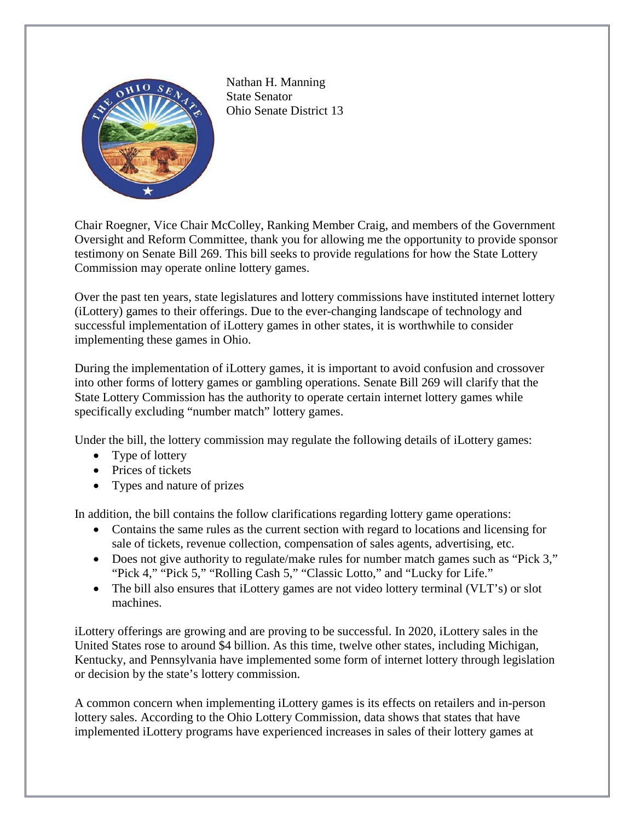

Nathan H. Manning State Senator Ohio Senate District 13

Chair Roegner, Vice Chair McColley, Ranking Member Craig, and members of the Government Oversight and Reform Committee, thank you for allowing me the opportunity to provide sponsor testimony on Senate Bill 269. This bill seeks to provide regulations for how the State Lottery Commission may operate online lottery games.

Over the past ten years, state legislatures and lottery commissions have instituted internet lottery (iLottery) games to their offerings. Due to the ever-changing landscape of technology and successful implementation of iLottery games in other states, it is worthwhile to consider implementing these games in Ohio.

During the implementation of iLottery games, it is important to avoid confusion and crossover into other forms of lottery games or gambling operations. Senate Bill 269 will clarify that the State Lottery Commission has the authority to operate certain internet lottery games while specifically excluding "number match" lottery games.

Under the bill, the lottery commission may regulate the following details of iLottery games:

- Type of lottery
- Prices of tickets
- Types and nature of prizes

In addition, the bill contains the follow clarifications regarding lottery game operations:

- Contains the same rules as the current section with regard to locations and licensing for sale of tickets, revenue collection, compensation of sales agents, advertising, etc.
- Does not give authority to regulate/make rules for number match games such as "Pick 3," "Pick 4," "Pick 5," "Rolling Cash 5," "Classic Lotto," and "Lucky for Life."
- The bill also ensures that iLottery games are not video lottery terminal (VLT's) or slot machines.

iLottery offerings are growing and are proving to be successful. In 2020, iLottery sales in the United States rose to around \$4 billion. As this time, twelve other states, including Michigan, Kentucky, and Pennsylvania have implemented some form of internet lottery through legislation or decision by the state's lottery commission.

A common concern when implementing iLottery games is its effects on retailers and in-person lottery sales. According to the Ohio Lottery Commission, data shows that states that have implemented iLottery programs have experienced increases in sales of their lottery games at